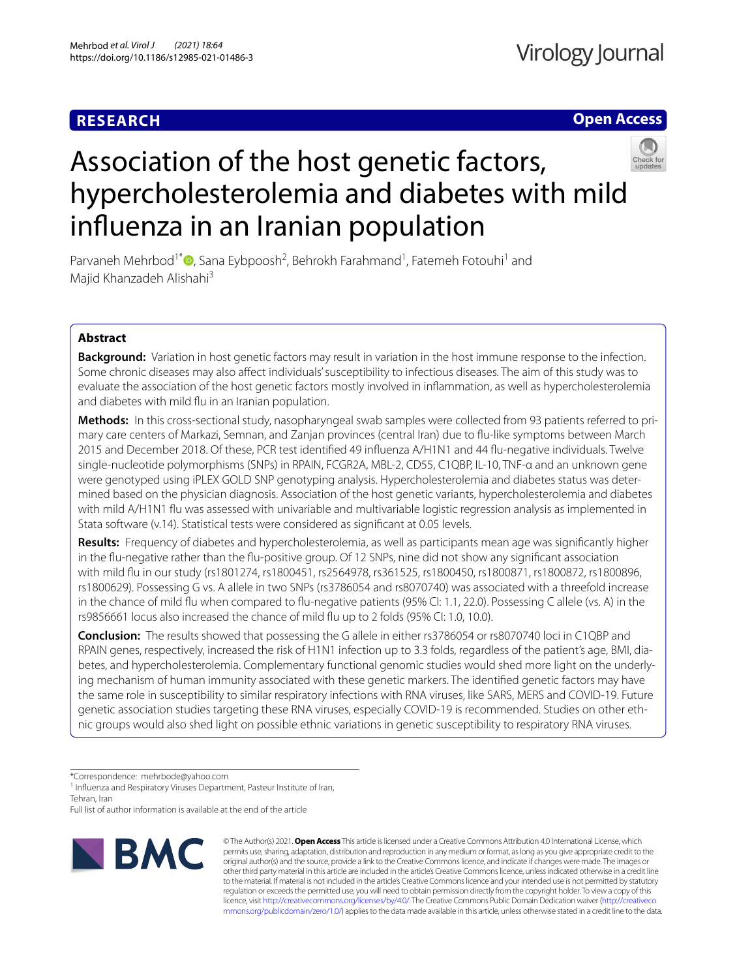## **RESEARCH**

## **Open Access**



# Association of the host genetic factors, hypercholesterolemia and diabetes with mild infuenza in an Iranian population

Parvaneh Mehrbod<sup>1\*</sup><sup>®</sup>[,](http://orcid.org/0000-0002-8391-9228) Sana Eybpoosh<sup>2</sup>, Behrokh Farahmand<sup>1</sup>, Fatemeh Fotouhi<sup>1</sup> and Majid Khanzadeh Alishahi<sup>3</sup>

### **Abstract**

**Background:** Variation in host genetic factors may result in variation in the host immune response to the infection. Some chronic diseases may also affect individuals' susceptibility to infectious diseases. The aim of this study was to evaluate the association of the host genetic factors mostly involved in infammation, as well as hypercholesterolemia and diabetes with mild fu in an Iranian population.

**Methods:** In this cross-sectional study, nasopharyngeal swab samples were collected from 93 patients referred to primary care centers of Markazi, Semnan, and Zanjan provinces (central Iran) due to fu-like symptoms between March 2015 and December 2018. Of these, PCR test identifed 49 infuenza A/H1N1 and 44 fu-negative individuals. Twelve single-nucleotide polymorphisms (SNPs) in RPAIN, FCGR2A, MBL-2, CD55, C1QBP, IL-10, TNF-α and an unknown gene were genotyped using iPLEX GOLD SNP genotyping analysis. Hypercholesterolemia and diabetes status was determined based on the physician diagnosis. Association of the host genetic variants, hypercholesterolemia and diabetes with mild A/H1N1 fu was assessed with univariable and multivariable logistic regression analysis as implemented in Stata software (v.14). Statistical tests were considered as signifcant at 0.05 levels.

**Results:** Frequency of diabetes and hypercholesterolemia, as well as participants mean age was signifcantly higher in the fu-negative rather than the fu-positive group. Of 12 SNPs, nine did not show any signifcant association with mild fu in our study (rs1801274, rs1800451, rs2564978, rs361525, rs1800450, rs1800871, rs1800872, rs1800896, rs1800629). Possessing G vs. A allele in two SNPs (rs3786054 and rs8070740) was associated with a threefold increase in the chance of mild flu when compared to flu-negative patients (95% CI: 1.1, 22.0). Possessing C allele (vs. A) in the rs9856661 locus also increased the chance of mild fu up to 2 folds (95% CI: 1.0, 10.0).

**Conclusion:** The results showed that possessing the G allele in either rs3786054 or rs8070740 loci in C1QBP and RPAIN genes, respectively, increased the risk of H1N1 infection up to 3.3 folds, regardless of the patient's age, BMI, diabetes, and hypercholesterolemia. Complementary functional genomic studies would shed more light on the underlying mechanism of human immunity associated with these genetic markers. The identifed genetic factors may have the same role in susceptibility to similar respiratory infections with RNA viruses, like SARS, MERS and COVID-19. Future genetic association studies targeting these RNA viruses, especially COVID-19 is recommended. Studies on other ethnic groups would also shed light on possible ethnic variations in genetic susceptibility to respiratory RNA viruses.

Full list of author information is available at the end of the article



© The Author(s) 2021. **Open Access** This article is licensed under a Creative Commons Attribution 4.0 International License, which permits use, sharing, adaptation, distribution and reproduction in any medium or format, as long as you give appropriate credit to the original author(s) and the source, provide a link to the Creative Commons licence, and indicate if changes were made. The images or other third party material in this article are included in the article's Creative Commons licence, unless indicated otherwise in a credit line to the material. If material is not included in the article's Creative Commons licence and your intended use is not permitted by statutory regulation or exceeds the permitted use, you will need to obtain permission directly from the copyright holder. To view a copy of this licence, visit [http://creativecommons.org/licenses/by/4.0/.](http://creativecommons.org/licenses/by/4.0/) The Creative Commons Public Domain Dedication waiver ([http://creativeco](http://creativecommons.org/publicdomain/zero/1.0/) [mmons.org/publicdomain/zero/1.0/](http://creativecommons.org/publicdomain/zero/1.0/)) applies to the data made available in this article, unless otherwise stated in a credit line to the data.

<sup>\*</sup>Correspondence: mehrbode@yahoo.com

<sup>&</sup>lt;sup>1</sup> Influenza and Respiratory Viruses Department, Pasteur Institute of Iran, Tehran, Iran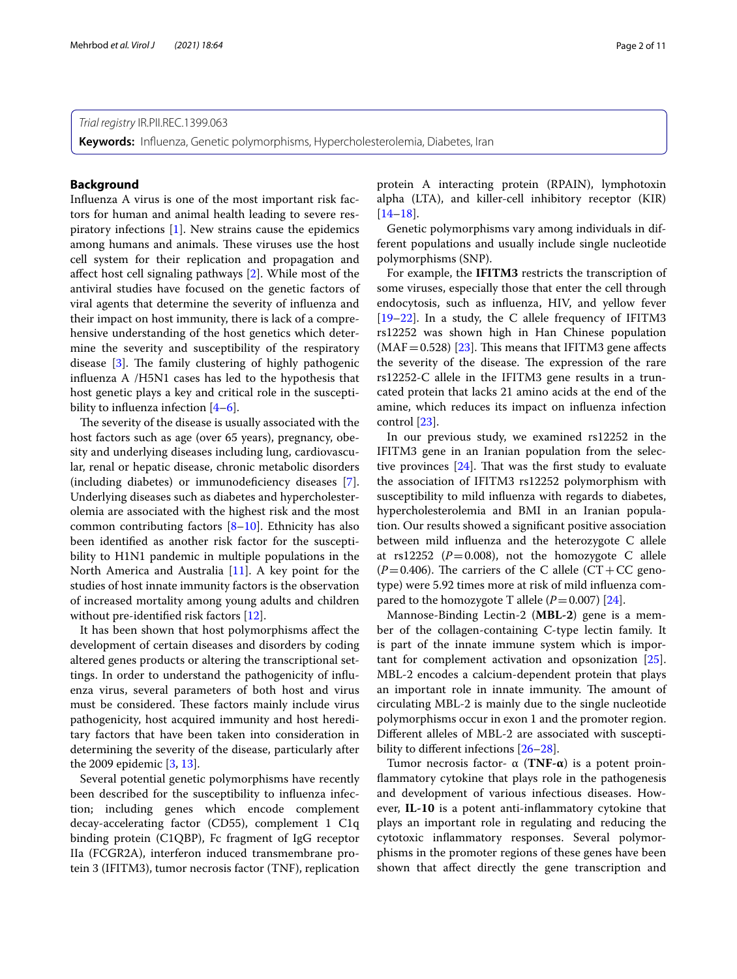#### *Trial registry* IR.PII.REC.1399.063

**Keywords:** Infuenza, Genetic polymorphisms, Hypercholesterolemia, Diabetes, Iran

#### **Background**

Infuenza A virus is one of the most important risk factors for human and animal health leading to severe respiratory infections [[1\]](#page-9-0). New strains cause the epidemics among humans and animals. These viruses use the host cell system for their replication and propagation and afect host cell signaling pathways [\[2](#page-9-1)]. While most of the antiviral studies have focused on the genetic factors of viral agents that determine the severity of infuenza and their impact on host immunity, there is lack of a comprehensive understanding of the host genetics which determine the severity and susceptibility of the respiratory disease  $[3]$  $[3]$ . The family clustering of highly pathogenic infuenza A /H5N1 cases has led to the hypothesis that host genetic plays a key and critical role in the susceptibility to infuenza infection [\[4](#page-9-3)[–6](#page-9-4)].

The severity of the disease is usually associated with the host factors such as age (over 65 years), pregnancy, obesity and underlying diseases including lung, cardiovascular, renal or hepatic disease, chronic metabolic disorders (including diabetes) or immunodefciency diseases [\[7](#page-9-5)]. Underlying diseases such as diabetes and hypercholesterolemia are associated with the highest risk and the most common contributing factors  $[8-10]$  $[8-10]$  $[8-10]$ . Ethnicity has also been identifed as another risk factor for the susceptibility to H1N1 pandemic in multiple populations in the North America and Australia [\[11\]](#page-9-8). A key point for the studies of host innate immunity factors is the observation of increased mortality among young adults and children without pre-identifed risk factors [[12\]](#page-9-9).

It has been shown that host polymorphisms afect the development of certain diseases and disorders by coding altered genes products or altering the transcriptional settings. In order to understand the pathogenicity of infuenza virus, several parameters of both host and virus must be considered. These factors mainly include virus pathogenicity, host acquired immunity and host hereditary factors that have been taken into consideration in determining the severity of the disease, particularly after the 2009 epidemic [[3,](#page-9-2) [13](#page-9-10)].

Several potential genetic polymorphisms have recently been described for the susceptibility to infuenza infection; including genes which encode complement decay-accelerating factor (CD55), complement 1 C1q binding protein (C1QBP), Fc fragment of IgG receptor IIa (FCGR2A), interferon induced transmembrane protein 3 (IFITM3), tumor necrosis factor (TNF), replication protein A interacting protein (RPAIN), lymphotoxin alpha (LTA), and killer-cell inhibitory receptor (KIR)  $[14–18]$  $[14–18]$  $[14–18]$ .

Genetic polymorphisms vary among individuals in different populations and usually include single nucleotide polymorphisms (SNP).

For example, the **IFITM3** restricts the transcription of some viruses, especially those that enter the cell through endocytosis, such as infuenza, HIV, and yellow fever [[19–](#page-9-13)[22\]](#page-9-14). In a study, the C allele frequency of IFITM3 rs12252 was shown high in Han Chinese population  $(MAF=0.528)$  [\[23](#page-9-15)]. This means that IFITM3 gene affects the severity of the disease. The expression of the rare rs12252-C allele in the IFITM3 gene results in a truncated protein that lacks 21 amino acids at the end of the amine, which reduces its impact on infuenza infection control [[23\]](#page-9-15).

In our previous study, we examined rs12252 in the IFITM3 gene in an Iranian population from the selective provinces  $[24]$  $[24]$ . That was the first study to evaluate the association of IFITM3 rs12252 polymorphism with susceptibility to mild infuenza with regards to diabetes, hypercholesterolemia and BMI in an Iranian population. Our results showed a signifcant positive association between mild infuenza and the heterozygote C allele at  $rs12252$  ( $P=0.008$ ), not the homozygote C allele  $(P=0.406)$ . The carriers of the C allele  $(CT+CC)$  genotype) were 5.92 times more at risk of mild infuenza compared to the homozygote T allele  $(P=0.007)$  [\[24](#page-9-16)].

Mannose-Binding Lectin-2 (**MBL-2**) gene is a member of the collagen-containing C-type lectin family. It is part of the innate immune system which is important for complement activation and opsonization [\[25](#page-9-17)]. MBL-2 encodes a calcium-dependent protein that plays an important role in innate immunity. The amount of circulating MBL-2 is mainly due to the single nucleotide polymorphisms occur in exon 1 and the promoter region. Diferent alleles of MBL-2 are associated with suscepti-bility to different infections [\[26](#page-9-18)[–28\]](#page-9-19).

Tumor necrosis factor- α (**TNF-α**) is a potent proinfammatory cytokine that plays role in the pathogenesis and development of various infectious diseases. However, **IL-10** is a potent anti-infammatory cytokine that plays an important role in regulating and reducing the cytotoxic infammatory responses. Several polymorphisms in the promoter regions of these genes have been shown that afect directly the gene transcription and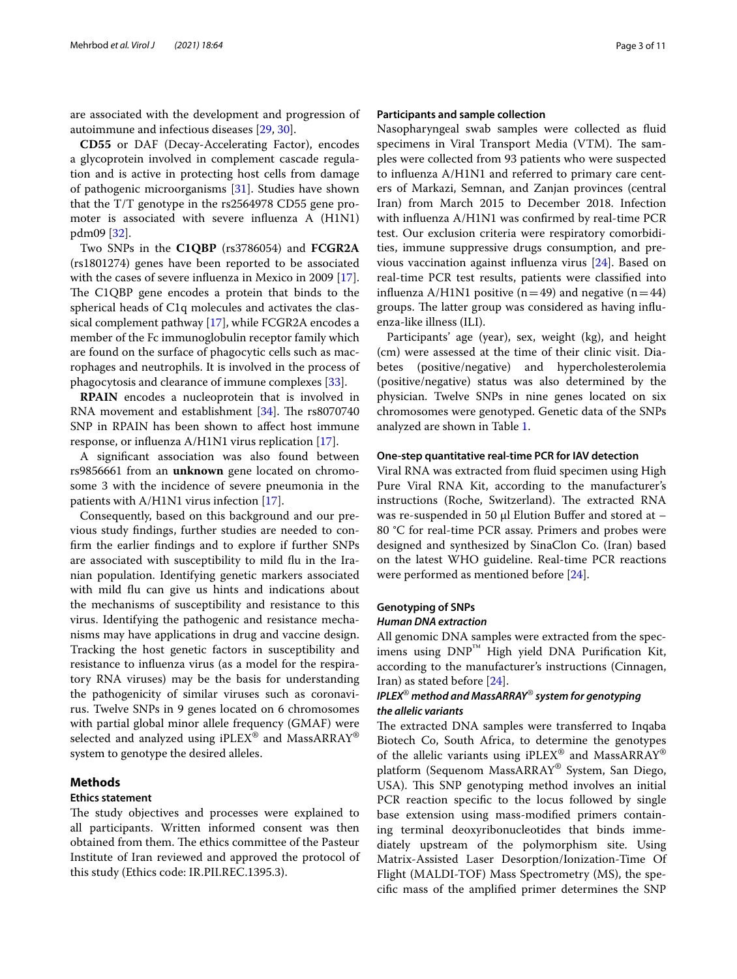are associated with the development and progression of autoimmune and infectious diseases [[29,](#page-9-20) [30](#page-9-21)].

**CD55** or DAF (Decay-Accelerating Factor), encodes a glycoprotein involved in complement cascade regulation and is active in protecting host cells from damage of pathogenic microorganisms [[31\]](#page-9-22). Studies have shown that the T/T genotype in the rs2564978 CD55 gene promoter is associated with severe infuenza A (H1N1) pdm09 [[32\]](#page-9-23).

Two SNPs in the **C1QBP** (rs3786054) and **FCGR2A** (rs1801274) genes have been reported to be associated with the cases of severe infuenza in Mexico in 2009 [\[17](#page-9-24)]. The C1QBP gene encodes a protein that binds to the spherical heads of C1q molecules and activates the classical complement pathway [[17\]](#page-9-24), while FCGR2A encodes a member of the Fc immunoglobulin receptor family which are found on the surface of phagocytic cells such as macrophages and neutrophils. It is involved in the process of phagocytosis and clearance of immune complexes [[33](#page-9-25)].

**RPAIN** encodes a nucleoprotein that is involved in RNA movement and establishment  $[34]$  $[34]$ . The rs8070740 SNP in RPAIN has been shown to afect host immune response, or infuenza A/H1N1 virus replication [[17](#page-9-24)].

A signifcant association was also found between rs9856661 from an **unknown** gene located on chromosome 3 with the incidence of severe pneumonia in the patients with A/H1N1 virus infection [[17](#page-9-24)].

Consequently, based on this background and our previous study fndings, further studies are needed to confrm the earlier fndings and to explore if further SNPs are associated with susceptibility to mild flu in the Iranian population. Identifying genetic markers associated with mild fu can give us hints and indications about the mechanisms of susceptibility and resistance to this virus. Identifying the pathogenic and resistance mechanisms may have applications in drug and vaccine design. Tracking the host genetic factors in susceptibility and resistance to infuenza virus (as a model for the respiratory RNA viruses) may be the basis for understanding the pathogenicity of similar viruses such as coronavirus. Twelve SNPs in 9 genes located on 6 chromosomes with partial global minor allele frequency (GMAF) were selected and analyzed using iPLEX® and MassARRAY® system to genotype the desired alleles.

#### **Methods**

#### **Ethics statement**

The study objectives and processes were explained to all participants. Written informed consent was then obtained from them. The ethics committee of the Pasteur Institute of Iran reviewed and approved the protocol of this study (Ethics code: IR.PII.REC.1395.3).

#### **Participants and sample collection**

Nasopharyngeal swab samples were collected as fuid specimens in Viral Transport Media (VTM). The samples were collected from 93 patients who were suspected to infuenza A/H1N1 and referred to primary care centers of Markazi, Semnan, and Zanjan provinces (central Iran) from March 2015 to December 2018. Infection with infuenza A/H1N1 was confrmed by real-time PCR test. Our exclusion criteria were respiratory comorbidities, immune suppressive drugs consumption, and previous vaccination against infuenza virus [\[24](#page-9-16)]. Based on real-time PCR test results, patients were classifed into influenza A/H1N1 positive (n=49) and negative (n=44) groups. The latter group was considered as having influenza-like illness (ILI).

Participants' age (year), sex, weight (kg), and height (cm) were assessed at the time of their clinic visit. Diabetes (positive/negative) and hypercholesterolemia (positive/negative) status was also determined by the physician. Twelve SNPs in nine genes located on six chromosomes were genotyped. Genetic data of the SNPs analyzed are shown in Table [1.](#page-3-0)

#### **One‑step quantitative real‑time PCR for IAV detection**

Viral RNA was extracted from fuid specimen using High Pure Viral RNA Kit, according to the manufacturer's instructions (Roche, Switzerland). The extracted RNA was re-suspended in 50 μl Elution Bufer and stored at – 80 °C for real-time PCR assay. Primers and probes were designed and synthesized by SinaClon Co. (Iran) based on the latest WHO guideline. Real-time PCR reactions were performed as mentioned before [\[24](#page-9-16)].

## **Genotyping of SNPs**

#### *Human DNA extraction*

All genomic DNA samples were extracted from the specimens using  $DNP^{TM}$  High yield DNA Purification Kit, according to the manufacturer's instructions (Cinnagen, Iran) as stated before [\[24\]](#page-9-16).

#### *IPLEX*® *method and MassARRAY*® *system for genotyping the allelic variants*

The extracted DNA samples were transferred to Inqaba Biotech Co, South Africa, to determine the genotypes of the allelic variants using iPLEX® and MassARRAY® platform (Sequenom MassARRAY® System, San Diego, USA). This SNP genotyping method involves an initial PCR reaction specific to the locus followed by single base extension using mass-modifed primers containing terminal deoxyribonucleotides that binds immediately upstream of the polymorphism site. Using Matrix-Assisted Laser Desorption/Ionization-Time Of Flight (MALDI-TOF) Mass Spectrometry (MS), the specifc mass of the amplifed primer determines the SNP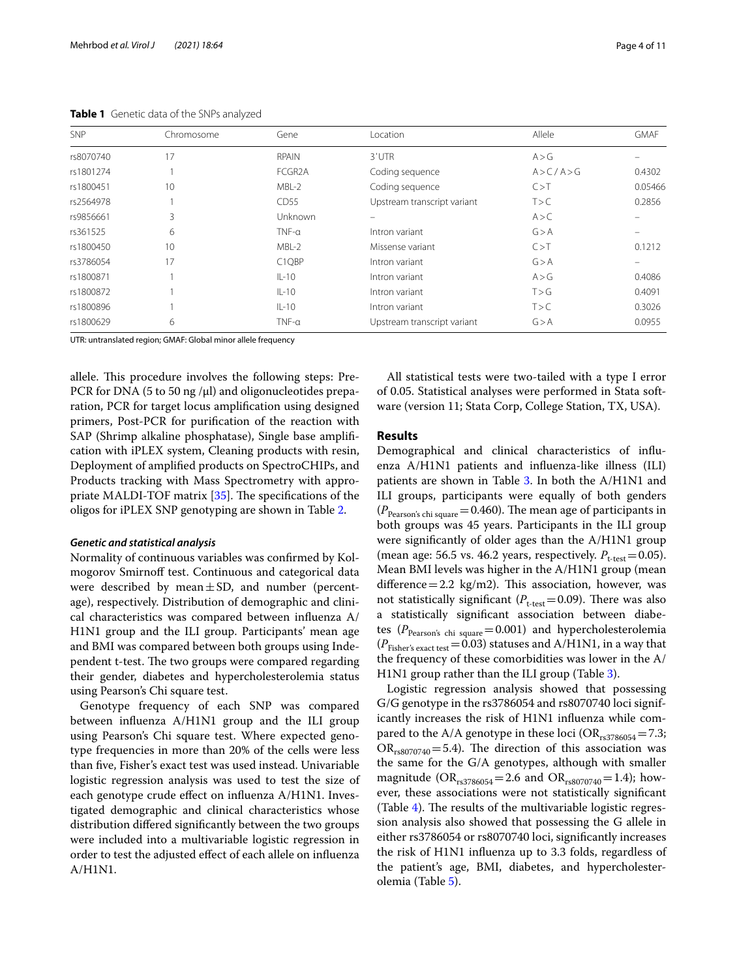| <b>SNP</b> | Chromosome | Gene                | Location                    | Allele        | <b>GMAF</b> |
|------------|------------|---------------------|-----------------------------|---------------|-------------|
| rs8070740  | 17         | <b>RPAIN</b>        | 3'UTR                       | A > G         |             |
| rs1801274  |            | FCGR <sub>2</sub> A | Coding sequence             | A > C / A > G | 0.4302      |
| rs1800451  | 10         | MBL-2               | Coding sequence             | C > T         | 0.05466     |
| rs2564978  |            | CD <sub>55</sub>    | Upstream transcript variant | T > C         | 0.2856      |
| rs9856661  | 3          | Unknown             |                             | A > C         |             |
| rs361525   | 6          | $TNF-\alpha$        | Intron variant              | G > A         |             |
| rs1800450  | 10         | MBL-2               | Missense variant            | C > T         | 0.1212      |
| rs3786054  | 17         | C1QBP               | Intron variant              | G > A         |             |
| rs1800871  |            | $IL-10$             | Intron variant              | A > G         | 0.4086      |
| rs1800872  |            | $IL-10$             | Intron variant              | T > G         | 0.4091      |
| rs1800896  |            | $IL-10$             | Intron variant              | T > C         | 0.3026      |
| rs1800629  | 6          | $TNF-a$             | Upstream transcript variant | G > A         | 0.0955      |

<span id="page-3-0"></span>**Table 1** Genetic data of the SNPs analyzed

UTR: untranslated region; GMAF: Global minor allele frequency

allele. This procedure involves the following steps: Pre-PCR for DNA (5 to 50 ng / $\mu$ l) and oligonucleotides preparation, PCR for target locus amplifcation using designed primers, Post-PCR for purifcation of the reaction with SAP (Shrimp alkaline phosphatase), Single base amplifcation with iPLEX system, Cleaning products with resin, Deployment of amplifed products on SpectroCHIPs, and Products tracking with Mass Spectrometry with appropriate MALDI-TOF matrix  $[35]$  $[35]$ . The specifications of the oligos for iPLEX SNP genotyping are shown in Table [2.](#page-4-0)

#### *Genetic and statistical analysis*

Normality of continuous variables was confrmed by Kolmogorov Smirnoff test. Continuous and categorical data were described by mean $\pm$ SD, and number (percentage), respectively. Distribution of demographic and clinical characteristics was compared between infuenza A/ H1N1 group and the ILI group. Participants' mean age and BMI was compared between both groups using Independent t-test. The two groups were compared regarding their gender, diabetes and hypercholesterolemia status using Pearson's Chi square test.

Genotype frequency of each SNP was compared between infuenza A/H1N1 group and the ILI group using Pearson's Chi square test. Where expected genotype frequencies in more than 20% of the cells were less than fve, Fisher's exact test was used instead. Univariable logistic regression analysis was used to test the size of each genotype crude efect on infuenza A/H1N1. Investigated demographic and clinical characteristics whose distribution difered signifcantly between the two groups were included into a multivariable logistic regression in order to test the adjusted efect of each allele on infuenza A/H1N1.

All statistical tests were two-tailed with a type I error of 0.05. Statistical analyses were performed in Stata software (version 11; Stata Corp, College Station, TX, USA).

#### **Results**

Demographical and clinical characteristics of infuenza A/H1N1 patients and infuenza-like illness (ILI) patients are shown in Table [3](#page-4-1). In both the A/H1N1 and ILI groups, participants were equally of both genders  $(P_{\text{Pearson's chi square}} = 0.460)$ . The mean age of participants in both groups was 45 years. Participants in the ILI group were signifcantly of older ages than the A/H1N1 group (mean age: 56.5 vs. 46.2 years, respectively.  $P_{t-test}=0.05$ ). Mean BMI levels was higher in the A/H1N1 group (mean difference = 2.2  $kg/m2$ ). This association, however, was not statistically significant ( $P_{t-test}=0.09$ ). There was also a statistically signifcant association between diabetes ( $P_{\text{Pearson's chi square}} = 0.001$ ) and hypercholesterolemia  $(P_{\mathrm{Fisher's\ exact\ test}}\!=\!0.03)$  statuses and A/H1N1, in a way that the frequency of these comorbidities was lower in the A/ H1N1 group rather than the ILI group (Table [3\)](#page-4-1).

Logistic regression analysis showed that possessing G/G genotype in the rs3786054 and rs8070740 loci significantly increases the risk of H1N1 infuenza while compared to the A/A genotype in these loci ( $OR_{rs3786054}$ =7.3;  $OR_{rs8070740} = 5.4$ ). The direction of this association was the same for the G/A genotypes, although with smaller magnitude ( $OR_{rs3786054}$  = 2.6 and  $OR_{rs8070740}$  = 1.4); however, these associations were not statistically signifcant (Table  $4$ ). The results of the multivariable logistic regression analysis also showed that possessing the G allele in either rs3786054 or rs8070740 loci, signifcantly increases the risk of H1N1 infuenza up to 3.3 folds, regardless of the patient's age, BMI, diabetes, and hypercholesterolemia (Table [5](#page-6-0)).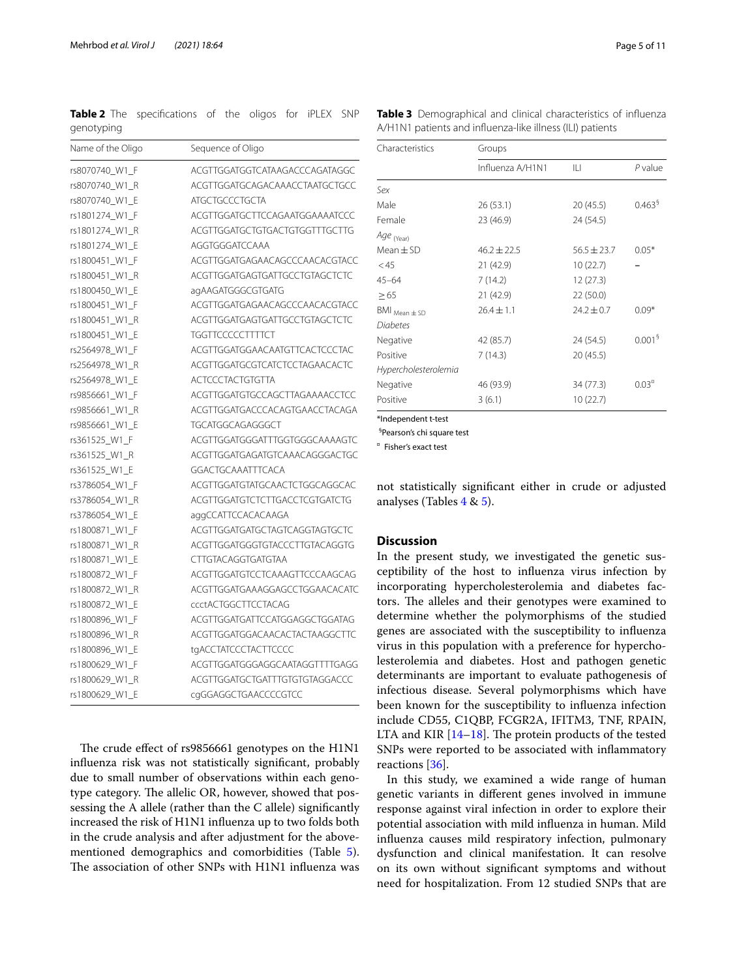<span id="page-4-0"></span>**Table 2** The specifications of the oligos for iPLEX SNP genotyping

| Name of the Oligo | Sequence of Oligo              |
|-------------------|--------------------------------|
| rs8070740 W1 F    | ACGTTGGATGGTCATAAGACCCAGATAGGC |
| rs8070740 W1 R    | ACGTTGGATGCAGACAAACCTAATGCTGCC |
| rs8070740_W1_E    | <b>ATGCTGCCCTGCTA</b>          |
| rs1801274_W1_F    | ACGTTGGATGCTTCCAGAATGGAAAATCCC |
| rs1801274_W1_R    | ACGTTGGATGCTGTGACTGTGGTTTGCTTG |
| rs1801274 W1 E    | AGGTGGGATCCAAA                 |
| rs1800451 W1 F    | ACGTTGGATGAGAACAGCCCAACACGTACC |
| rs1800451_W1_R    | ACGTTGGATGAGTGATTGCCTGTAGCTCTC |
| rs1800450_W1_E    | agAAGATGGGCGTGATG              |
| rs1800451_W1_F    | ACGTTGGATGAGAACAGCCCAACACGTACC |
| rs1800451_W1_R    | ACGTTGGATGAGTGATTGCCTGTAGCTCTC |
| rs1800451_W1_E    | <b>TGGTTCCCCCTTTTCT</b>        |
| rs2564978 W1 F    | ACGTTGGATGGAACAATGTTCACTCCCTAC |
| rs2564978_W1_R    | ACGTTGGATGCGTCATCTCCTAGAACACTC |
| rs2564978_W1_E    | <b>ACTCCCTACTGTGTTA</b>        |
| rs9856661_W1_F    | ACGTTGGATGTGCCAGCTTAGAAAACCTCC |
| rs9856661_W1_R    | ACGTTGGATGACCCACAGTGAACCTACAGA |
| rs9856661_W1_E    | <b>TGCATGGCAGAGGGCT</b>        |
| rs361525_W1_F     | ACGTTGGATGGGATTTGGTGGGCAAAAGTC |
| rs361525_W1_R     | ACGTTGGATGAGATGTCAAACAGGGACTGC |
| rs361525_W1_E     | <b>GGACTGCAAATTTCACA</b>       |
| rs3786054 W1 F    | ACGTTGGATGTATGCAACTCTGGCAGGCAC |
| rs3786054_W1_R    | ACGTTGGATGTCTCTTGACCTCGTGATCTG |
| rs3786054_W1_E    | aggCCATTCCACACAAGA             |
| rs1800871_W1_F    | ACGTTGGATGATGCTAGTCAGGTAGTGCTC |
| rs1800871_W1_R    | ACGTTGGATGGGTGTACCCTTGTACAGGTG |
| rs1800871_W1_E    | CTTGTACAGGTGATGTAA             |
| rs1800872_W1_F    | ACGTTGGATGTCCTCAAAGTTCCCAAGCAG |
| rs1800872_W1_R    | ACGTTGGATGAAAGGAGCCTGGAACACATC |
| rs1800872_W1_E    | <b>ccctACTGGCTTCCTACAG</b>     |
| rs1800896_W1_F    | ACGTTGGATGATTCCATGGAGGCTGGATAG |
| rs1800896_W1_R    | ACGTTGGATGGACAACACTACTAAGGCTTC |
| rs1800896 W1 E    | tgACCTATCCCTACTTCCCC           |
| rs1800629 W1 F    | ACGTTGGATGGGAGGCAATAGGTTTTGAGG |
| rs1800629_W1_R    | ACGTTGGATGCTGATTTGTGTGTAGGACCC |
| rs1800629_W1_E    | cgGGAGGCTGAACCCCGTCC           |

The crude effect of rs9856661 genotypes on the H1N1 infuenza risk was not statistically signifcant, probably due to small number of observations within each genotype category. The allelic OR, however, showed that possessing the A allele (rather than the C allele) signifcantly increased the risk of H1N1 infuenza up to two folds both in the crude analysis and after adjustment for the abovementioned demographics and comorbidities (Table [5](#page-6-0)). The association of other SNPs with H1N1 influenza was

Characteristics Groups Infuenza A/H1N1 ILI *P* value *Sex* Male 26 (53.1) 20 (45.5) 0.463<sup>§</sup> Female 23 (46.9) 24 (54.5) *Age* (Year)  $Mean \pm SD$  46.2 $\pm$ 22.5 56.5 $\pm$ 23.7 0.05<sup>\*</sup><br>
45 21 (42.9) 10 (22.7) – 21 (42.9) 45–64 7 (14.2) 12 (27.3)  $\geq 65$  21 (42.9) 22 (50.0)  $BMI_{Mean + SD}$  26.4 ± 1.1 24.2 ± 0.7 0.09\* *Diabetes* Negative 42 (85.7) 24 (54.5) 0.001<sup>§</sup> Positive 7 (14.3) 20 (45.5) *Hypercholesterolemia* Negative  $46 (93.9)$   $34 (77.3)$   $0.03<sup>r</sup>$ Positive 3 (6.1) 10 (22.7)

\*Independent t-test

§ Pearson's chi square test

¤ Fisher's exact test

not statistically signifcant either in crude or adjusted analyses (Tables  $4 \& 5$  $4 \& 5$ ).

#### **Discussion**

In the present study, we investigated the genetic susceptibility of the host to infuenza virus infection by incorporating hypercholesterolemia and diabetes factors. The alleles and their genotypes were examined to determine whether the polymorphisms of the studied genes are associated with the susceptibility to infuenza virus in this population with a preference for hypercholesterolemia and diabetes. Host and pathogen genetic determinants are important to evaluate pathogenesis of infectious disease. Several polymorphisms which have been known for the susceptibility to infuenza infection include CD55, C1QBP, FCGR2A, IFITM3, TNF, RPAIN, LTA and KIR  $[14-18]$  $[14-18]$  $[14-18]$ . The protein products of the tested SNPs were reported to be associated with infammatory reactions [[36\]](#page-10-2).

In this study, we examined a wide range of human genetic variants in diferent genes involved in immune response against viral infection in order to explore their potential association with mild infuenza in human. Mild infuenza causes mild respiratory infection, pulmonary dysfunction and clinical manifestation. It can resolve on its own without signifcant symptoms and without need for hospitalization. From 12 studied SNPs that are

<span id="page-4-1"></span>**Table 3** Demographical and clinical characteristics of infuenza A/H1N1 patients and infuenza-like illness (ILI) patients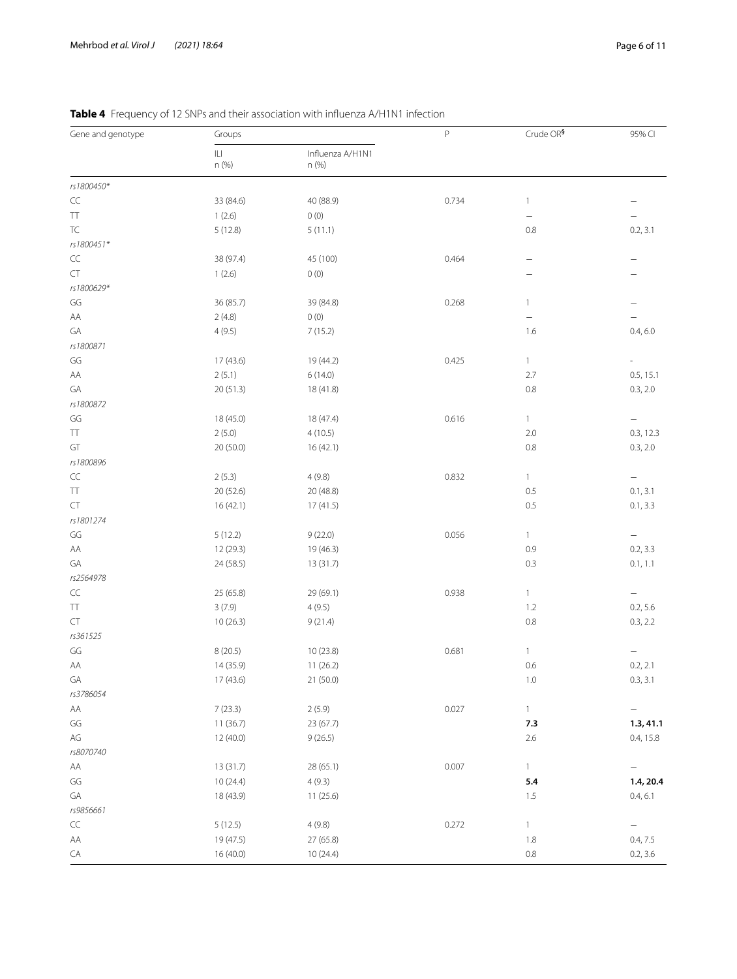| Gene and genotype | Groups     |                           | $\mathsf P$ | Crude OR <sup>§</sup>    | 95% CI                   |
|-------------------|------------|---------------------------|-------------|--------------------------|--------------------------|
|                   | Ш<br>n (%) | Influenza A/H1N1<br>n (%) |             |                          |                          |
| rs1800450*        |            |                           |             |                          |                          |
| $\subset \subset$ | 33 (84.6)  | 40 (88.9)                 | 0.734       | 1                        | $\overline{\phantom{0}}$ |
| TT                | 1(2.6)     | 0(0)                      |             | -                        |                          |
| TC                | 5(12.8)    | 5(11.1)                   |             | 0.8                      | 0.2, 3.1                 |
| rs1800451*        |            |                           |             |                          |                          |
| $\sf CC$          | 38 (97.4)  | 45 (100)                  | 0.464       | $\overline{\phantom{0}}$ | -                        |
| CT                | 1(2.6)     | 0(0)                      |             | -                        |                          |
| rs1800629*        |            |                           |             |                          |                          |
| GG                | 36 (85.7)  | 39 (84.8)                 | 0.268       | 1                        |                          |
| AA                | 2(4.8)     | 0(0)                      |             | -                        |                          |
| GA                | 4(9.5)     | 7(15.2)                   |             | 1.6                      | 0.4, 6.0                 |
| rs1800871         |            |                           |             |                          |                          |
| GG                | 17 (43.6)  | 19 (44.2)                 | 0.425       | 1                        | $\overline{\phantom{a}}$ |
| AA                | 2(5.1)     | 6(14.0)                   |             | 2.7                      | 0.5, 15.1                |
| GA                | 20(51.3)   | 18 (41.8)                 |             | 0.8                      | 0.3, 2.0                 |
| rs1800872         |            |                           |             |                          |                          |
| GG                | 18 (45.0)  | 18 (47.4)                 | 0.616       | 1                        | $\qquad \qquad -$        |
| TT                | 2(5.0)     | 4(10.5)                   |             | 2.0                      | 0.3, 12.3                |
| GT                | 20 (50.0)  | 16(42.1)                  |             | 0.8                      | 0.3, 2.0                 |
| rs1800896         |            |                           |             |                          |                          |
| $\subset \subset$ | 2(5.3)     | 4(9.8)                    | 0.832       | 1                        | $\qquad \qquad -$        |
| TT.               | 20 (52.6)  | 20 (48.8)                 |             | 0.5                      | 0.1, 3.1                 |
| CT                | 16(42.1)   | 17(41.5)                  |             | 0.5                      | 0.1, 3.3                 |
| rs1801274         |            |                           |             |                          |                          |
| GG                | 5(12.2)    | 9(22.0)                   | 0.056       | 1                        | $\qquad \qquad -$        |
| AA                | 12 (29.3)  | 19 (46.3)                 |             | 0.9                      | 0.2, 3.3                 |
| GA                | 24 (58.5)  | 13 (31.7)                 |             | 0.3                      | 0.1, 1.1                 |
| rs2564978         |            |                           |             |                          |                          |
| $\subset \subset$ | 25 (65.8)  | 29 (69.1)                 | 0.938       | 1                        | $\qquad \qquad -$        |
| TT                | 3(7.9)     | 4(9.5)                    |             | 1.2                      | 0.2, 5.6                 |
| CT                | 10(26.3)   | 9(21.4)                   |             | 0.8                      | 0.3, 2.2                 |
| rs361525          |            |                           |             |                          |                          |
| GG                | 8(20.5)    | 10(23.8)                  | 0.681       | 1                        | $\qquad \qquad -$        |
| AA                | 14 (35.9)  | 11(26.2)                  |             | 0.6                      | 0.2, 2.1                 |
| GA                | 17 (43.6)  | 21 (50.0)                 |             | $1.0\,$                  | 0.3, 3.1                 |
| rs3786054         |            |                           |             |                          |                          |
| AA                | 7(23.3)    | 2(5.9)                    | 0.027       | $\mathbf{1}$             | $\overline{\phantom{0}}$ |
| GG                | 11 (36.7)  | 23 (67.7)                 |             | 7.3                      | 1.3, 41.1                |
| $\mathsf{AG}$     | 12 (40.0)  | 9(26.5)                   |             | $2.6\,$                  | 0.4, 15.8                |
| rs8070740         |            |                           |             |                          |                          |
| AA                | 13 (31.7)  | 28 (65.1)                 | 0.007       | 1                        | $\qquad \qquad -$        |
| GG                | 10 (24.4)  | 4(9.3)                    |             | 5.4                      | 1.4, 20.4                |
| GA                | 18 (43.9)  | 11(25.6)                  |             | 1.5                      | 0.4, 6.1                 |
| rs9856661         |            |                           |             |                          |                          |
| $\subset\subset$  | 5(12.5)    | 4(9.8)                    | 0.272       | 1                        | $\qquad \qquad -$        |
| AA                | 19 (47.5)  | 27 (65.8)                 |             | 1.8                      | 0.4, 7.5                 |
| CA                | 16 (40.0)  | 10 (24.4)                 |             | $0.8\,$                  | 0.2, 3.6                 |

## <span id="page-5-0"></span>**Table 4** Frequency of 12 SNPs and their association with infuenza A/H1N1 infection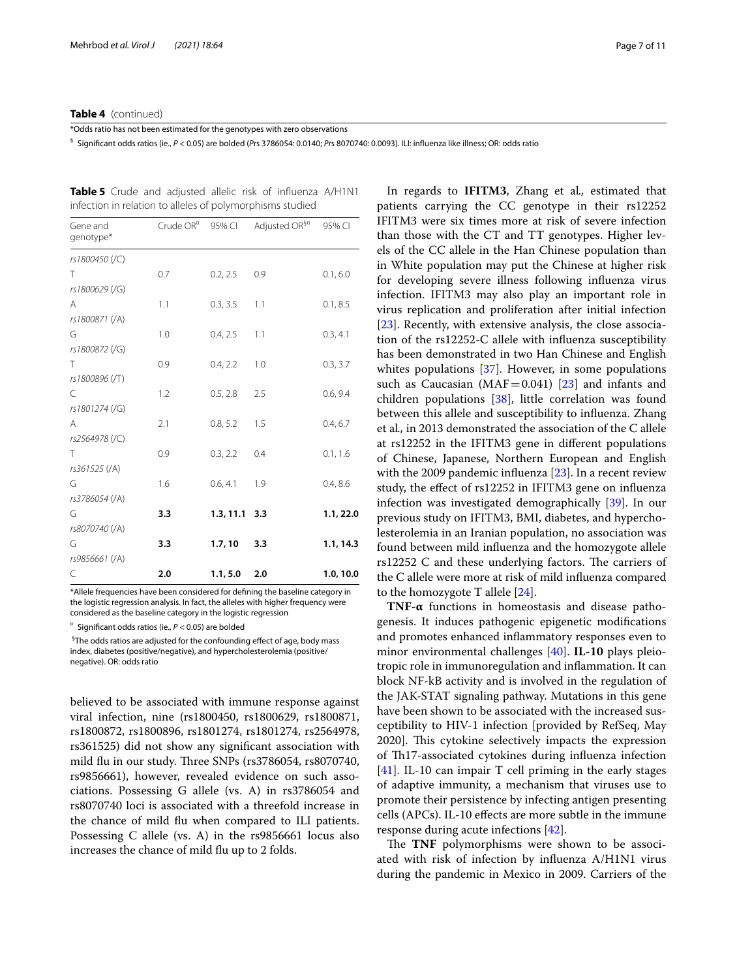#### **Table 4** (continued)

\*Odds ratio has not been estimated for the genotypes with zero observations

§ Signifcant odds ratios (ie., *P* < 0.05) are bolded (*P*rs 3786054: 0.0140; *P*rs 8070740: 0.0093). ILI: infuenza like illness; OR: odds ratio

<span id="page-6-0"></span>**Table 5** Crude and adjusted allelic risk of influenza A/H1N1 infection in relation to alleles of polymorphisms studied

| Gene and<br>genotype* | Crude OR <sup>¤</sup> | 95% CI          | Adjusted OR <sup>§¤</sup> | 95% CI    |
|-----------------------|-----------------------|-----------------|---------------------------|-----------|
| rs1800450 (/C)        |                       |                 |                           |           |
| T                     | 0.7                   | 0.2, 2.5        | 0.9                       | 0.1, 6.0  |
| rs1800629 (/G)        |                       |                 |                           |           |
| A                     | 1.1                   | 0.3, 3.5        | 1.1                       | 0.1, 8.5  |
| rs1800871 (/A)        |                       |                 |                           |           |
| G                     | 1.0                   | 0.4, 2.5        | 1.1                       | 0.3, 4.1  |
| rs1800872 (/G)        |                       |                 |                           |           |
| T                     | 0.9                   | 0.4, 2.2        | 1.0                       | 0.3, 3.7  |
| rs1800896 (/T)        |                       |                 |                           |           |
| C                     | 1.2                   | 0.5, 2.8        | 2.5                       | 0.6, 9.4  |
| rs1801274 (/G)        |                       |                 |                           |           |
| A<br>rs2564978 (/C)   | 2.1                   | 0.8, 5.2        | 1.5                       | 0.4, 6.7  |
| T                     | 0.9                   | 0.3, 2.2        | 0.4                       | 0.1, 1.6  |
| rs361525 (/A)         |                       |                 |                           |           |
| G                     | 1.6                   | 0.6, 4.1        | 1.9                       | 0.4, 8.6  |
| rs3786054 (/A)        |                       |                 |                           |           |
| G                     | 3.3                   | $1.3, 11.1$ 3.3 |                           | 1.1, 22.0 |
| rs8070740 (/A)        |                       |                 |                           |           |
| G                     | 3.3                   | 1.7, 10         | 3.3                       | 1.1, 14.3 |
| rs9856661 (/A)        |                       |                 |                           |           |
| C                     | 2.0                   | 1.1, 5.0        | 2.0                       | 1.0, 10.0 |

\*Allele frequencies have been considered for defning the baseline category in the logistic regression analysis. In fact, the alleles with higher frequency were considered as the baseline category in the logistic regression

Significant odds ratios (ie.,  $P < 0.05$ ) are bolded

§ The odds ratios are adjusted for the confounding efect of age, body mass index, diabetes (positive/negative), and hypercholesterolemia (positive/ negative). OR: odds ratio

believed to be associated with immune response against viral infection, nine (rs1800450, rs1800629, rs1800871, rs1800872, rs1800896, rs1801274, rs1801274, rs2564978, rs361525) did not show any signifcant association with mild flu in our study. Three SNPs (rs3786054, rs8070740, rs9856661), however, revealed evidence on such associations. Possessing G allele (vs. A) in rs3786054 and rs8070740 loci is associated with a threefold increase in the chance of mild fu when compared to ILI patients. Possessing C allele (vs. A) in the rs9856661 locus also increases the chance of mild flu up to 2 folds.

In regards to **IFITM3**, Zhang et al*.,* estimated that patients carrying the CC genotype in their rs12252 IFITM3 were six times more at risk of severe infection than those with the CT and TT genotypes. Higher levels of the CC allele in the Han Chinese population than in White population may put the Chinese at higher risk for developing severe illness following infuenza virus infection. IFITM3 may also play an important role in virus replication and proliferation after initial infection [[23\]](#page-9-15). Recently, with extensive analysis, the close association of the rs12252-C allele with infuenza susceptibility has been demonstrated in two Han Chinese and English whites populations [[37\]](#page-10-3). However, in some populations such as Caucasian ( $MAF=0.041$ ) [\[23](#page-9-15)] and infants and children populations [\[38](#page-10-4)], little correlation was found between this allele and susceptibility to infuenza. Zhang et al*.,* in 2013 demonstrated the association of the C allele at rs12252 in the IFITM3 gene in diferent populations of Chinese, Japanese, Northern European and English with the 2009 pandemic influenza [\[23](#page-9-15)]. In a recent review study, the efect of rs12252 in IFITM3 gene on infuenza infection was investigated demographically [\[39](#page-10-5)]. In our previous study on IFITM3, BMI, diabetes, and hypercholesterolemia in an Iranian population, no association was found between mild infuenza and the homozygote allele rs12252 C and these underlying factors. The carriers of the C allele were more at risk of mild infuenza compared to the homozygote T allele [[24](#page-9-16)].

**TNF-α** functions in homeostasis and disease pathogenesis. It induces pathogenic epigenetic modifcations and promotes enhanced infammatory responses even to minor environmental challenges [\[40](#page-10-6)]. **IL-10** plays pleiotropic role in immunoregulation and infammation. It can block NF-kB activity and is involved in the regulation of the JAK-STAT signaling pathway. Mutations in this gene have been shown to be associated with the increased susceptibility to HIV-1 infection [provided by RefSeq, May 2020]. This cytokine selectively impacts the expression of Th17-associated cytokines during influenza infection [[41\]](#page-10-7). IL-10 can impair T cell priming in the early stages of adaptive immunity, a mechanism that viruses use to promote their persistence by infecting antigen presenting cells (APCs). IL-10 efects are more subtle in the immune response during acute infections [[42\]](#page-10-8).

The **TNF** polymorphisms were shown to be associated with risk of infection by infuenza A/H1N1 virus during the pandemic in Mexico in 2009. Carriers of the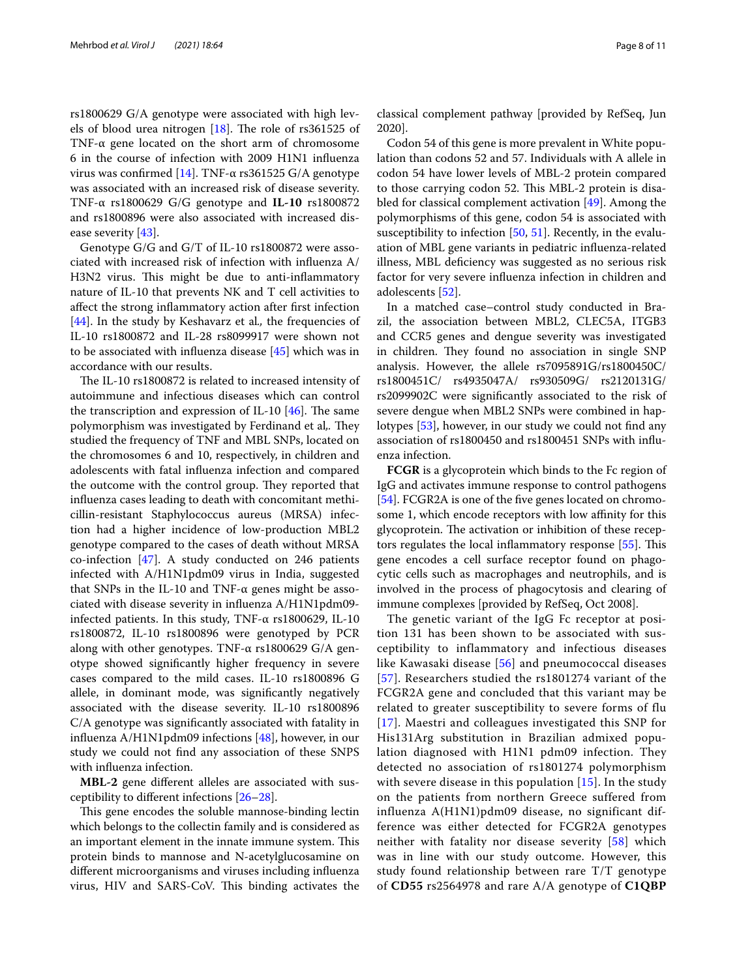rs1800629 G/A genotype were associated with high lev-els of blood urea nitrogen [[18\]](#page-9-12). The role of rs361525 of TNF-α gene located on the short arm of chromosome 6 in the course of infection with 2009 H1N1 infuenza virus was confrmed [\[14\]](#page-9-11). TNF-α rs361525 G/A genotype was associated with an increased risk of disease severity. TNF-α rs1800629 G/G genotype and **IL-10** rs1800872 and rs1800896 were also associated with increased disease severity [[43](#page-10-9)].

Genotype G/G and G/T of IL-10 rs1800872 were associated with increased risk of infection with infuenza A/ H3N2 virus. This might be due to anti-inflammatory nature of IL-10 that prevents NK and T cell activities to afect the strong infammatory action after frst infection [[44\]](#page-10-10). In the study by Keshavarz et al., the frequencies of IL-10 rs1800872 and IL-28 rs8099917 were shown not to be associated with infuenza disease [\[45](#page-10-11)] which was in accordance with our results.

The IL-10 rs1800872 is related to increased intensity of autoimmune and infectious diseases which can control the transcription and expression of IL-10  $[46]$ . The same polymorphism was investigated by Ferdinand et al. They studied the frequency of TNF and MBL SNPs, located on the chromosomes 6 and 10, respectively, in children and adolescents with fatal infuenza infection and compared the outcome with the control group. They reported that infuenza cases leading to death with concomitant methicillin-resistant Staphylococcus aureus (MRSA) infection had a higher incidence of low-production MBL2 genotype compared to the cases of death without MRSA co-infection [[47](#page-10-13)]. A study conducted on 246 patients infected with A/H1N1pdm09 virus in India, suggested that SNPs in the IL-10 and TNF- $α$  genes might be associated with disease severity in infuenza A/H1N1pdm09 infected patients. In this study, TNF-α rs1800629, IL-10 rs1800872, IL-10 rs1800896 were genotyped by PCR along with other genotypes. TNF-α rs1800629 G/A genotype showed signifcantly higher frequency in severe cases compared to the mild cases. IL-10 rs1800896 G allele, in dominant mode, was signifcantly negatively associated with the disease severity. IL-10 rs1800896 C/A genotype was signifcantly associated with fatality in infuenza A/H1N1pdm09 infections [\[48](#page-10-14)], however, in our study we could not fnd any association of these SNPS with infuenza infection.

**MBL-2** gene diferent alleles are associated with susceptibility to diferent infections [\[26](#page-9-18)[–28\]](#page-9-19).

This gene encodes the soluble mannose-binding lectin which belongs to the collectin family and is considered as an important element in the innate immune system. This protein binds to mannose and N-acetylglucosamine on diferent microorganisms and viruses including infuenza virus, HIV and SARS-CoV. This binding activates the

classical complement pathway [provided by RefSeq, Jun 2020].

Codon 54 of this gene is more prevalent in White population than codons 52 and 57. Individuals with A allele in codon 54 have lower levels of MBL-2 protein compared to those carrying codon 52. This MBL-2 protein is disabled for classical complement activation [[49\]](#page-10-15). Among the polymorphisms of this gene, codon 54 is associated with susceptibility to infection [[50](#page-10-16), [51](#page-10-17)]. Recently, in the evaluation of MBL gene variants in pediatric infuenza-related illness, MBL defciency was suggested as no serious risk factor for very severe infuenza infection in children and adolescents [\[52](#page-10-18)].

In a matched case–control study conducted in Brazil, the association between MBL2, CLEC5A, ITGB3 and CCR5 genes and dengue severity was investigated in children. They found no association in single SNP analysis. However, the allele rs7095891G/rs1800450C/ rs1800451C/ rs4935047A/ rs930509G/ rs2120131G/ rs2099902C were signifcantly associated to the risk of severe dengue when MBL2 SNPs were combined in haplotypes [[53\]](#page-10-19), however, in our study we could not fnd any association of rs1800450 and rs1800451 SNPs with infuenza infection.

**FCGR** is a glycoprotein which binds to the Fc region of IgG and activates immune response to control pathogens [[54\]](#page-10-20). FCGR2A is one of the five genes located on chromosome 1, which encode receptors with low affinity for this glycoprotein. The activation or inhibition of these recep-tors regulates the local inflammatory response [[55\]](#page-10-21). This gene encodes a cell surface receptor found on phagocytic cells such as macrophages and neutrophils, and is involved in the process of phagocytosis and clearing of immune complexes [provided by RefSeq, Oct 2008].

The genetic variant of the IgG Fc receptor at position 131 has been shown to be associated with susceptibility to inflammatory and infectious diseases like Kawasaki disease [\[56\]](#page-10-22) and pneumococcal diseases [[57](#page-10-23)]. Researchers studied the rs1801274 variant of the FCGR2A gene and concluded that this variant may be related to greater susceptibility to severe forms of flu [[17](#page-9-24)]. Maestri and colleagues investigated this SNP for His131Arg substitution in Brazilian admixed population diagnosed with H1N1 pdm09 infection. They detected no association of rs1801274 polymorphism with severe disease in this population  $[15]$  $[15]$  $[15]$ . In the study on the patients from northern Greece suffered from influenza A(H1N1)pdm09 disease, no significant difference was either detected for FCGR2A genotypes neither with fatality nor disease severity [[58\]](#page-10-24) which was in line with our study outcome. However, this study found relationship between rare T/T genotype of **CD55** rs2564978 and rare A/A genotype of **C1QBP**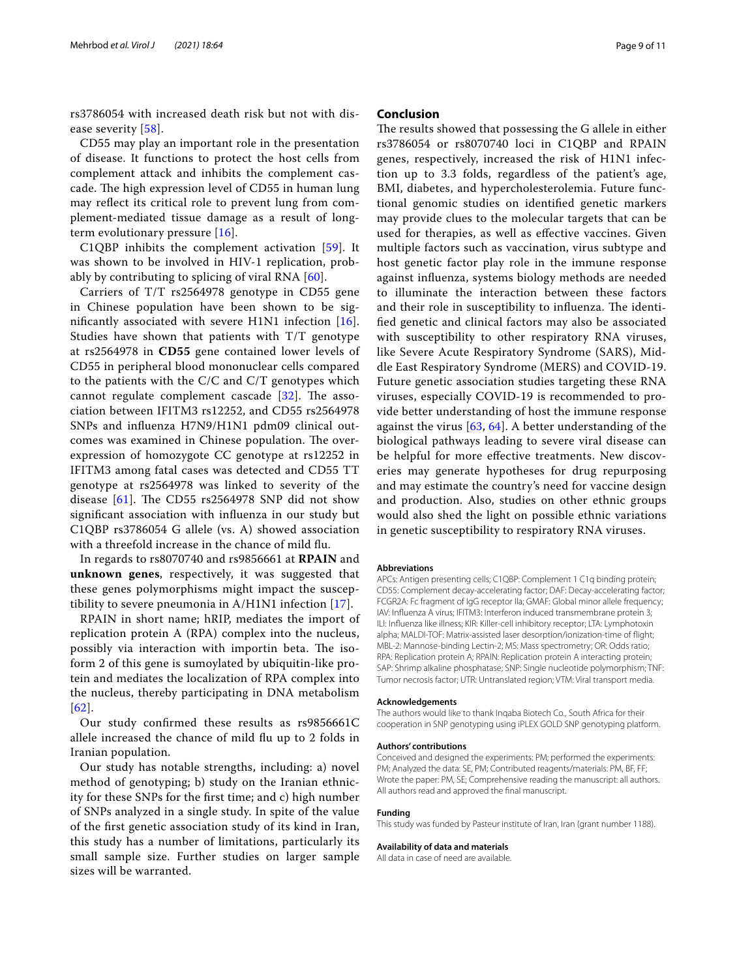rs3786054 with increased death risk but not with dis-ease severity [[58\]](#page-10-24).

CD55 may play an important role in the presentation of disease. It functions to protect the host cells from complement attack and inhibits the complement cascade. The high expression level of CD55 in human lung may refect its critical role to prevent lung from complement-mediated tissue damage as a result of longterm evolutionary pressure [[16\]](#page-9-27).

C1QBP inhibits the complement activation [\[59\]](#page-10-25). It was shown to be involved in HIV-1 replication, probably by contributing to splicing of viral RNA [[60\]](#page-10-26).

Carriers of T/T rs2564978 genotype in CD55 gene in Chinese population have been shown to be signifcantly associated with severe H1N1 infection [[16\]](#page-9-27). Studies have shown that patients with T/T genotype at rs2564978 in **CD55** gene contained lower levels of CD55 in peripheral blood mononuclear cells compared to the patients with the C/C and C/T genotypes which cannot regulate complement cascade  $[32]$  $[32]$ . The association between IFITM3 rs12252, and CD55 rs2564978 SNPs and infuenza H7N9/H1N1 pdm09 clinical outcomes was examined in Chinese population. The overexpression of homozygote CC genotype at rs12252 in IFITM3 among fatal cases was detected and CD55 TT genotype at rs2564978 was linked to severity of the disease  $[61]$  $[61]$ . The CD55 rs2564978 SNP did not show signifcant association with infuenza in our study but C1QBP rs3786054 G allele (vs. A) showed association with a threefold increase in the chance of mild fu.

In regards to rs8070740 and rs9856661 at **RPAIN** and **unknown genes**, respectively, it was suggested that these genes polymorphisms might impact the susceptibility to severe pneumonia in A/H1N1 infection [[17](#page-9-24)].

RPAIN in short name; hRIP, mediates the import of replication protein A (RPA) complex into the nucleus, possibly via interaction with importin beta. The isoform 2 of this gene is sumoylated by ubiquitin-like protein and mediates the localization of RPA complex into the nucleus, thereby participating in DNA metabolism [[62](#page-10-28)].

Our study confrmed these results as rs9856661C allele increased the chance of mild fu up to 2 folds in Iranian population.

Our study has notable strengths, including: a) novel method of genotyping; b) study on the Iranian ethnicity for these SNPs for the frst time; and c) high number of SNPs analyzed in a single study. In spite of the value of the frst genetic association study of its kind in Iran, this study has a number of limitations, particularly its small sample size. Further studies on larger sample sizes will be warranted.

#### **Conclusion**

The results showed that possessing the G allele in either rs3786054 or rs8070740 loci in C1QBP and RPAIN genes, respectively, increased the risk of H1N1 infection up to 3.3 folds, regardless of the patient's age, BMI, diabetes, and hypercholesterolemia. Future functional genomic studies on identifed genetic markers may provide clues to the molecular targets that can be used for therapies, as well as efective vaccines. Given multiple factors such as vaccination, virus subtype and host genetic factor play role in the immune response against infuenza, systems biology methods are needed to illuminate the interaction between these factors and their role in susceptibility to influenza. The identifed genetic and clinical factors may also be associated with susceptibility to other respiratory RNA viruses, like Severe Acute Respiratory Syndrome (SARS), Middle East Respiratory Syndrome (MERS) and COVID-19. Future genetic association studies targeting these RNA viruses, especially COVID-19 is recommended to provide better understanding of host the immune response against the virus  $[63, 64]$  $[63, 64]$  $[63, 64]$  $[63, 64]$  $[63, 64]$ . A better understanding of the biological pathways leading to severe viral disease can be helpful for more efective treatments. New discoveries may generate hypotheses for drug repurposing and may estimate the country's need for vaccine design and production. Also, studies on other ethnic groups would also shed the light on possible ethnic variations in genetic susceptibility to respiratory RNA viruses.

#### **Abbreviations**

APCs: Antigen presenting cells; C1QBP: Complement 1 C1q binding protein; CD55: Complement decay-accelerating factor; DAF: Decay-accelerating factor; FCGR2A: Fc fragment of IgG receptor IIa; GMAF: Global minor allele frequency; IAV: Infuenza A virus; IFITM3: Interferon induced transmembrane protein 3; ILI: Infuenza like illness; KIR: Killer-cell inhibitory receptor; LTA: Lymphotoxin alpha; MALDI-TOF: Matrix-assisted laser desorption/ionization-time of fight; MBL-2: Mannose-binding Lectin-2; MS: Mass spectrometry; OR: Odds ratio; RPA: Replication protein A; RPAIN: Replication protein A interacting protein; SAP: Shrimp alkaline phosphatase; SNP: Single nucleotide polymorphism; TNF: Tumor necrosis factor; UTR: Untranslated region; VTM: Viral transport media.

#### **Acknowledgements**

The authors would like to thank Inqaba Biotech Co., South Africa for their cooperation in SNP genotyping using iPLEX GOLD SNP genotyping platform.

#### **Authors' contributions**

Conceived and designed the experiments: PM; performed the experiments: PM; Analyzed the data: SE, PM; Contributed reagents/materials: PM, BF, FF; Wrote the paper: PM, SE; Comprehensive reading the manuscript: all authors. All authors read and approved the fnal manuscript.

#### **Funding**

This study was funded by Pasteur institute of Iran, Iran (grant number 1188).

#### **Availability of data and materials**

All data in case of need are available.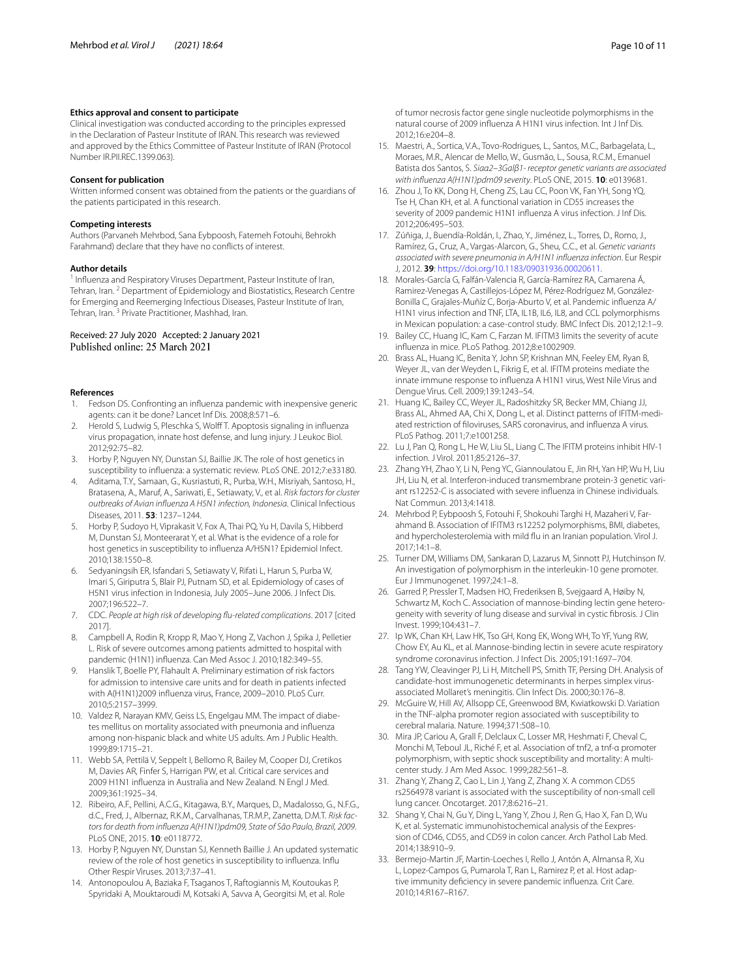#### **Ethics approval and consent to participate**

Clinical investigation was conducted according to the principles expressed in the Declaration of Pasteur Institute of IRAN. This research was reviewed and approved by the Ethics Committee of Pasteur Institute of IRAN (Protocol Number IR.PII.REC.1399.063).

#### **Consent for publication**

Written informed consent was obtained from the patients or the guardians of the patients participated in this research.

#### **Competing interests**

Authors (Parvaneh Mehrbod, Sana Eybpoosh, Fatemeh Fotouhi, Behrokh Farahmand) declare that they have no conficts of interest.

#### **Author details**

<sup>1</sup> Influenza and Respiratory Viruses Department, Pasteur Institute of Iran, Tehran, Iran. <sup>2</sup> Department of Epidemiology and Biostatistics, Research Centre for Emerging and Reemerging Infectious Diseases, Pasteur Institute of Iran, Tehran, Iran.<sup>3</sup> Private Practitioner, Mashhad, Iran.

## Received: 27 July 2020 Accepted: 2 January 2021<br>Published online: 25 March 2021

#### **References**

- <span id="page-9-0"></span>1. Fedson DS. Confronting an infuenza pandemic with inexpensive generic agents: can it be done? Lancet Inf Dis. 2008;8:571–6.
- <span id="page-9-1"></span>2. Herold S, Ludwig S, Pleschka S, Wolff T. Apoptosis signaling in influenza virus propagation, innate host defense, and lung injury. J Leukoc Biol. 2012;92:75–82.
- <span id="page-9-2"></span>3. Horby P, Nguyen NY, Dunstan SJ, Baillie JK. The role of host genetics in susceptibility to infuenza: a systematic review. PLoS ONE. 2012;7:e33180.
- <span id="page-9-3"></span>4. Aditama, T.Y., Samaan, G., Kusriastuti, R., Purba, W.H., Misriyah, Santoso, H., Bratasena, A., Maruf, A., Sariwati, E., Setiawaty, V., et al. *Risk factors for cluster outbreaks of Avian infuenza A H5N1 infection, Indonesia*. Clinical Infectious Diseases, 2011. **53**: 1237–1244.
- 5. Horby P, Sudoyo H, Viprakasit V, Fox A, Thai PQ, Yu H, Davila S, Hibberd M, Dunstan SJ, Monteerarat Y, et al. What is the evidence of a role for host genetics in susceptibility to infuenza A/H5N1? Epidemiol Infect. 2010;138:1550–8.
- <span id="page-9-4"></span>6. Sedyaningsih ER, Isfandari S, Setiawaty V, Rifati L, Harun S, Purba W, Imari S, Giriputra S, Blair PJ, Putnam SD, et al. Epidemiology of cases of H5N1 virus infection in Indonesia, July 2005–June 2006. J Infect Dis. 2007;196:522–7.
- <span id="page-9-5"></span>7. CDC. *People at high risk of developing fu-related complications*. 2017 [cited 2017].
- <span id="page-9-6"></span>8. Campbell A, Rodin R, Kropp R, Mao Y, Hong Z, Vachon J, Spika J, Pelletier L. Risk of severe outcomes among patients admitted to hospital with pandemic (H1N1) infuenza. Can Med Assoc J. 2010;182:349–55.
- Hanslik T, Boelle PY, Flahault A. Preliminary estimation of risk factors for admission to intensive care units and for death in patients infected with A(H1N1)2009 infuenza virus, France, 2009–2010. PLoS Curr. 2010;5:2157–3999.
- <span id="page-9-7"></span>10. Valdez R, Narayan KMV, Geiss LS, Engelgau MM. The impact of diabetes mellitus on mortality associated with pneumonia and infuenza among non-hispanic black and white US adults. Am J Public Health. 1999;89:1715–21.
- <span id="page-9-8"></span>11. Webb SA, Pettilä V, Seppelt I, Bellomo R, Bailey M, Cooper DJ, Cretikos M, Davies AR, Finfer S, Harrigan PW, et al. Critical care services and 2009 H1N1 infuenza in Australia and New Zealand. N Engl J Med. 2009;361:1925–34.
- <span id="page-9-9"></span>12. Ribeiro, A.F., Pellini, A.C.G., Kitagawa, B.Y., Marques, D., Madalosso, G., N.F.G., d.C., Fred, J., Albernaz, R.K.M., Carvalhanas, T.R.M.P., Zanetta, D.M.T. *Risk factors for death from infuenza A(H1N1)pdm09, State of São Paulo, Brazil, 2009*. PLoS ONE, 2015. **10**: e0118772.
- <span id="page-9-10"></span>13. Horby P, Nguyen NY, Dunstan SJ, Kenneth Baillie J. An updated systematic review of the role of host genetics in susceptibility to infuenza. Infu Other Respir Viruses. 2013;7:37–41.
- <span id="page-9-11"></span>14. Antonopoulou A, Baziaka F, Tsaganos T, Raftogiannis M, Koutoukas P, Spyridaki A, Mouktaroudi M, Kotsaki A, Savva A, Georgitsi M, et al. Role

of tumor necrosis factor gene single nucleotide polymorphisms in the natural course of 2009 infuenza A H1N1 virus infection. Int J Inf Dis. 2012;16:e204–8.

- <span id="page-9-26"></span>15. Maestri, A., Sortica, V.A., Tovo-Rodrigues, L., Santos, M.C., Barbagelata, L., Moraes, M.R., Alencar de Mello, W., Gusmão, L., Sousa, R.C.M., Emanuel Batista dos Santos, S. *Siaα2–3Galβ1- receptor genetic variants are associated with infuenza A(H1N1)pdm09 severity*. PLoS ONE, 2015. **10**: e0139681.
- <span id="page-9-27"></span>16. Zhou J, To KK, Dong H, Cheng ZS, Lau CC, Poon VK, Fan YH, Song YQ, Tse H, Chan KH, et al. A functional variation in CD55 increases the severity of 2009 pandemic H1N1 infuenza A virus infection. J Inf Dis. 2012;206:495–503.
- <span id="page-9-24"></span>17. Zúñiga, J., Buendía-Roldán, I., Zhao, Y., Jiménez, L., Torres, D., Romo, J., Ramírez, G., Cruz, A., Vargas-Alarcon, G., Sheu, C.C., et al. *Genetic variants associated with severe pneumonia in A/H1N1 infuenza infection*. Eur Respir J, 2012. **39**: <https://doi.org/10.1183/09031936.00020611>.
- <span id="page-9-12"></span>18. Morales-García G, Falfán-Valencia R, García-Ramírez RA, Camarena Á, Ramirez-Venegas A, Castillejos-López M, Pérez-Rodríguez M, González-Bonilla C, Grajales-Muñíz C, Borja-Aburto V, et al. Pandemic infuenza A/ H1N1 virus infection and TNF, LTA, IL1B, IL6, IL8, and CCL polymorphisms in Mexican population: a case-control study. BMC Infect Dis. 2012;12:1–9.
- <span id="page-9-13"></span>19. Bailey CC, Huang IC, Kam C, Farzan M. IFITM3 limits the severity of acute infuenza in mice. PLoS Pathog. 2012;8:e1002909.
- 20. Brass AL, Huang IC, Benita Y, John SP, Krishnan MN, Feeley EM, Ryan B, Weyer JL, van der Weyden L, Fikrig E, et al. IFITM proteins mediate the innate immune response to infuenza A H1N1 virus, West Nile Virus and Dengue Virus. Cell. 2009;139:1243–54.
- 21. Huang IC, Bailey CC, Weyer JL, Radoshitzky SR, Becker MM, Chiang JJ, Brass AL, Ahmed AA, Chi X, Dong L, et al. Distinct patterns of IFITM-mediated restriction of floviruses, SARS coronavirus, and infuenza A virus. PLoS Pathog. 2011;7:e1001258.
- <span id="page-9-14"></span>22. Lu J, Pan Q, Rong L, He W, Liu SL, Liang C. The IFITM proteins inhibit HIV-1 infection. J Virol. 2011;85:2126–37.
- <span id="page-9-15"></span>23. Zhang YH, Zhao Y, Li N, Peng YC, Giannoulatou E, Jin RH, Yan HP, Wu H, Liu JH, Liu N, et al. Interferon-induced transmembrane protein-3 genetic variant rs12252-C is associated with severe infuenza in Chinese individuals. Nat Commun. 2013;4:1418.
- <span id="page-9-16"></span>24. Mehrbod P, Eybpoosh S, Fotouhi F, Shokouhi Targhi H, Mazaheri V, Farahmand B. Association of IFITM3 rs12252 polymorphisms, BMI, diabetes, and hypercholesterolemia with mild fu in an Iranian population. Virol J. 2017;14:1–8.
- <span id="page-9-17"></span>25. Turner DM, Williams DM, Sankaran D, Lazarus M, Sinnott PJ, Hutchinson IV. An investigation of polymorphism in the interleukin-10 gene promoter. Eur J Immunogenet. 1997;24:1–8.
- <span id="page-9-18"></span>26. Garred P, Pressler T, Madsen HO, Frederiksen B, Svejgaard A, Høiby N, Schwartz M, Koch C. Association of mannose-binding lectin gene heterogeneity with severity of lung disease and survival in cystic fbrosis. J Clin Invest. 1999;104:431–7.
- 27. Ip WK, Chan KH, Law HK, Tso GH, Kong EK, Wong WH, To YF, Yung RW, Chow EY, Au KL, et al. Mannose-binding lectin in severe acute respiratory syndrome coronavirus infection. J Infect Dis. 2005;191:1697–704.
- <span id="page-9-19"></span>28. Tang YW, Cleavinger PJ, Li H, Mitchell PS, Smith TF, Persing DH. Analysis of candidate-host immunogenetic determinants in herpes simplex virusassociated Mollaret's meningitis. Clin Infect Dis. 2000;30:176–8.
- <span id="page-9-20"></span>29. McGuire W, Hill AV, Allsopp CE, Greenwood BM, Kwiatkowski D. Variation in the TNF-alpha promoter region associated with susceptibility to cerebral malaria. Nature. 1994;371:508–10.
- <span id="page-9-21"></span>30. Mira JP, Cariou A, Grall F, Delclaux C, Losser MR, Heshmati F, Cheval C, Monchi M, Teboul JL, Riché F, et al. Association of tnf2, a tnf-α promoter polymorphism, with septic shock susceptibility and mortality: A multicenter study. J Am Med Assoc. 1999;282:561–8.
- <span id="page-9-22"></span>31. Zhang Y, Zhang Z, Cao L, Lin J, Yang Z, Zhang X. A common CD55 rs2564978 variant is associated with the susceptibility of non-small cell lung cancer. Oncotarget. 2017;8:6216–21.
- <span id="page-9-23"></span>32. Shang Y, Chai N, Gu Y, Ding L, Yang Y, Zhou J, Ren G, Hao X, Fan D, Wu K, et al. Systematic immunohistochemical analysis of the Eexpression of CD46, CD55, and CD59 in colon cancer. Arch Pathol Lab Med. 2014;138:910–9.
- <span id="page-9-25"></span>33. Bermejo-Martin JF, Martin-Loeches I, Rello J, Antón A, Almansa R, Xu L, Lopez-Campos G, Pumarola T, Ran L, Ramirez P, et al. Host adaptive immunity defciency in severe pandemic infuenza. Crit Care. 2010;14:R167–R167.